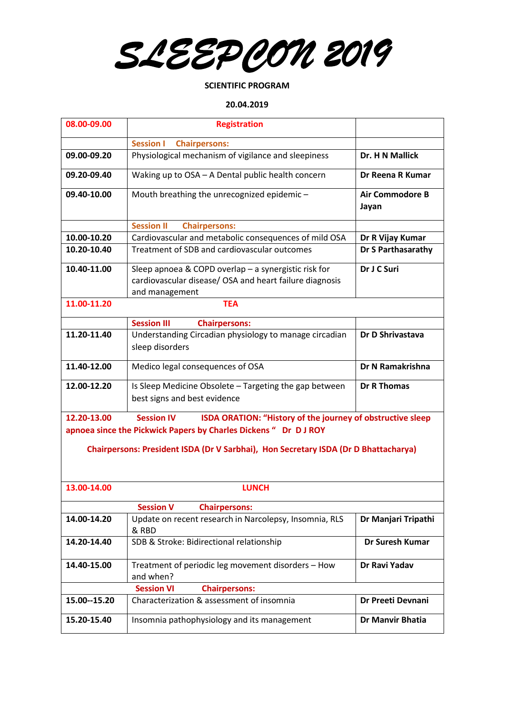*SLEEPCON 2019* 

### **SCIENTIFIC PROGRAM**

### **20.04.2019**

| 08.00-09.00                                                                         | <b>Registration</b>                                                                                                               |                                 |  |  |
|-------------------------------------------------------------------------------------|-----------------------------------------------------------------------------------------------------------------------------------|---------------------------------|--|--|
|                                                                                     | <b>Session I</b><br><b>Chairpersons:</b>                                                                                          |                                 |  |  |
| 09.00-09.20                                                                         | Physiological mechanism of vigilance and sleepiness                                                                               | Dr. H N Mallick                 |  |  |
| 09.20-09.40                                                                         | Waking up to OSA - A Dental public health concern                                                                                 | Dr Reena R Kumar                |  |  |
| 09.40-10.00                                                                         | Mouth breathing the unrecognized epidemic -                                                                                       | <b>Air Commodore B</b><br>Jayan |  |  |
|                                                                                     | <b>Session II</b><br><b>Chairpersons:</b>                                                                                         |                                 |  |  |
| 10.00-10.20                                                                         | Cardiovascular and metabolic consequences of mild OSA                                                                             | Dr R Vijay Kumar                |  |  |
| 10.20-10.40                                                                         | Treatment of SDB and cardiovascular outcomes                                                                                      | <b>Dr S Parthasarathy</b>       |  |  |
| 10.40-11.00                                                                         | Sleep apnoea & COPD overlap - a synergistic risk for<br>cardiovascular disease/ OSA and heart failure diagnosis<br>and management | Dr J C Suri                     |  |  |
| 11.00-11.20                                                                         | <b>TEA</b>                                                                                                                        |                                 |  |  |
|                                                                                     | <b>Session III</b><br><b>Chairpersons:</b>                                                                                        |                                 |  |  |
| 11.20-11.40                                                                         | Understanding Circadian physiology to manage circadian<br>sleep disorders                                                         | Dr D Shrivastava                |  |  |
| 11.40-12.00                                                                         | Medico legal consequences of OSA                                                                                                  | Dr N Ramakrishna                |  |  |
| 12.00-12.20                                                                         | Is Sleep Medicine Obsolete - Targeting the gap between<br>best signs and best evidence                                            | <b>Dr R Thomas</b>              |  |  |
| 12.20-13.00                                                                         | <b>Session IV</b><br>ISDA ORATION: "History of the journey of obstructive sleep                                                   |                                 |  |  |
|                                                                                     | apnoea since the Pickwick Papers by Charles Dickens " Dr D J ROY                                                                  |                                 |  |  |
| Chairpersons: President ISDA (Dr V Sarbhai), Hon Secretary ISDA (Dr D Bhattacharya) |                                                                                                                                   |                                 |  |  |
| 13.00-14.00                                                                         | <b>LUNCH</b>                                                                                                                      |                                 |  |  |
|                                                                                     | <b>Session V</b><br><b>Chairpersons:</b>                                                                                          |                                 |  |  |
| 14.00-14.20                                                                         | Update on recent research in Narcolepsy, Insomnia, RLS<br>& RBD                                                                   | Dr Manjari Tripathi             |  |  |
| 14.20-14.40                                                                         | SDB & Stroke: Bidirectional relationship                                                                                          | <b>Dr Suresh Kumar</b>          |  |  |
| 14.40-15.00                                                                         | Treatment of periodic leg movement disorders - How<br>and when?                                                                   | Dr Ravi Yadav                   |  |  |
|                                                                                     | <b>Session VI</b><br><b>Chairpersons:</b>                                                                                         |                                 |  |  |
| 15.00 -- 15.20                                                                      | Characterization & assessment of insomnia                                                                                         | Dr Preeti Devnani               |  |  |
| 15.20-15.40                                                                         | Insomnia pathophysiology and its management                                                                                       | <b>Dr Manvir Bhatia</b>         |  |  |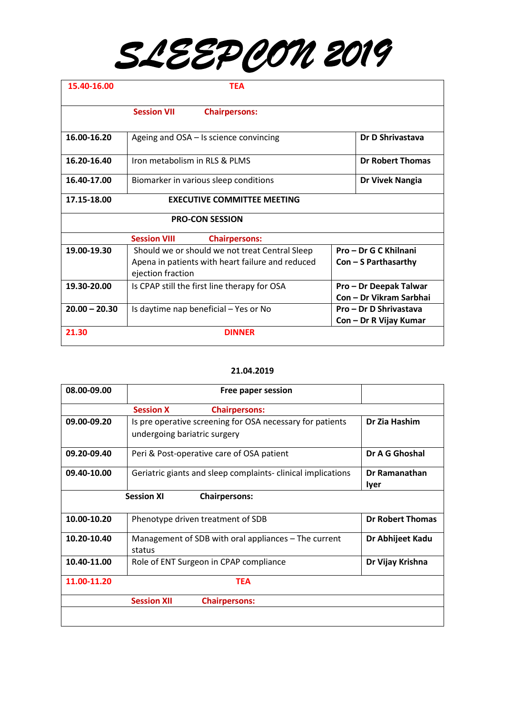# *SLEEPCON 2019*

| 15.40-16.00     | <b>TEA</b>                                                                                                              |                                                   |                         |
|-----------------|-------------------------------------------------------------------------------------------------------------------------|---------------------------------------------------|-------------------------|
|                 | <b>Session VII</b><br><b>Chairpersons:</b>                                                                              |                                                   |                         |
| 16.00-16.20     | Ageing and OSA – Is science convincing                                                                                  |                                                   | Dr D Shrivastava        |
| 16.20-16.40     | Iron metabolism in RLS & PLMS                                                                                           |                                                   | <b>Dr Robert Thomas</b> |
| 16.40-17.00     | Biomarker in various sleep conditions                                                                                   |                                                   | Dr Vivek Nangia         |
| 17.15-18.00     | <b>EXECUTIVE COMMITTEE MEETING</b>                                                                                      |                                                   |                         |
|                 | <b>PRO-CON SESSION</b>                                                                                                  |                                                   |                         |
|                 | <b>Session VIII</b><br><b>Chairpersons:</b>                                                                             |                                                   |                         |
| 19.00-19.30     | Should we or should we not treat Central Sleep<br>Apena in patients with heart failure and reduced<br>ejection fraction | Pro - Dr G C Khilnani<br>$Con - S$ Parthasarthy   |                         |
| 19.30-20.00     | Is CPAP still the first line therapy for OSA                                                                            | Pro - Dr Deepak Talwar<br>Con - Dr Vikram Sarbhai |                         |
| $20.00 - 20.30$ | Is daytime nap beneficial - Yes or No                                                                                   | Pro - Dr D Shrivastava<br>Con - Dr R Vijay Kumar  |                         |
| 21.30           | <b>DINNER</b>                                                                                                           |                                                   |                         |

### **21.04.2019**

| 08.00-09.00 | Free paper session                                                                        |                         |
|-------------|-------------------------------------------------------------------------------------------|-------------------------|
|             | <b>Session X</b><br><b>Chairpersons:</b>                                                  |                         |
| 09.00-09.20 | Is pre operative screening for OSA necessary for patients<br>undergoing bariatric surgery | Dr Zia Hashim           |
| 09.20-09.40 | Peri & Post-operative care of OSA patient                                                 | Dr A G Ghoshal          |
| 09.40-10.00 | Geriatric giants and sleep complaints- clinical implications                              | Dr Ramanathan<br>lyer   |
|             | <b>Session XI</b><br><b>Chairpersons:</b>                                                 |                         |
| 10.00-10.20 | Phenotype driven treatment of SDB                                                         | <b>Dr Robert Thomas</b> |
| 10.20-10.40 | Management of SDB with oral appliances – The current<br>status                            | Dr Abhijeet Kadu        |
| 10.40-11.00 | Role of ENT Surgeon in CPAP compliance                                                    | Dr Vijay Krishna        |
| 11.00-11.20 | <b>TEA</b>                                                                                |                         |
|             | <b>Session XII</b><br><b>Chairpersons:</b>                                                |                         |
|             |                                                                                           |                         |